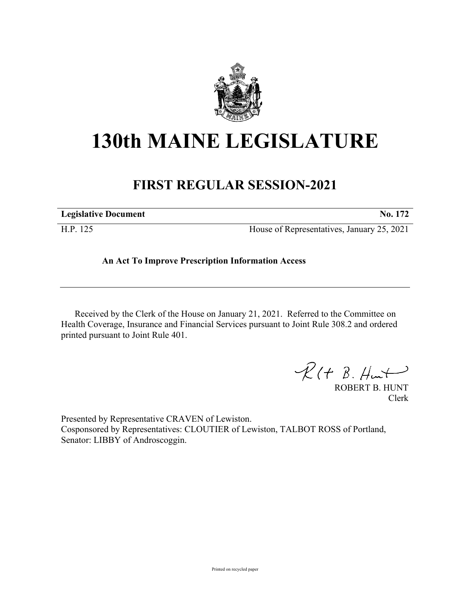

## **130th MAINE LEGISLATURE**

## **FIRST REGULAR SESSION-2021**

| <b>Legislative Document</b> | No. 172                                    |
|-----------------------------|--------------------------------------------|
| H.P. 125                    | House of Representatives, January 25, 2021 |

## **An Act To Improve Prescription Information Access**

Received by the Clerk of the House on January 21, 2021. Referred to the Committee on Health Coverage, Insurance and Financial Services pursuant to Joint Rule 308.2 and ordered printed pursuant to Joint Rule 401.

 $R(t B. Hmt)$ 

ROBERT B. HUNT Clerk

Presented by Representative CRAVEN of Lewiston. Cosponsored by Representatives: CLOUTIER of Lewiston, TALBOT ROSS of Portland, Senator: LIBBY of Androscoggin.